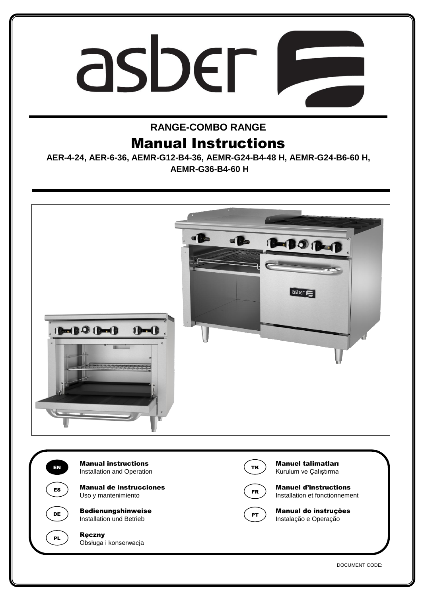# asber I  $\overline{\phantom{a}}$

# **RANGE-COMBO RANGE**

# Manual Instructions

**AER-4-24, AER-6-36, AEMR-G12-B4-36, AEMR-G24-B4-48 H, AEMR-G24-B6-60 H, AEMR-G36-B4-60 H**



DOCUMENT CODE: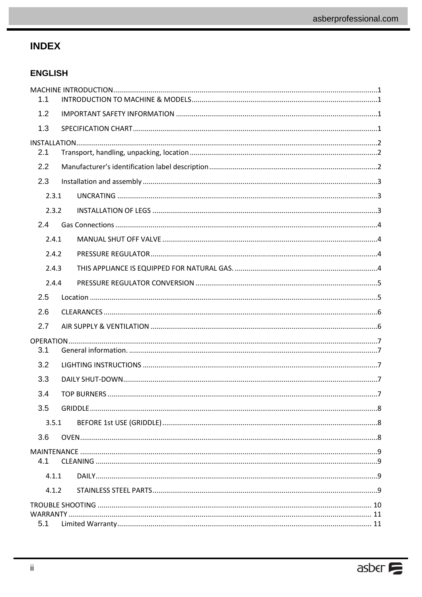# **INDEX**

## **ENGLISH**

| 1.1   |  |  |  |  |  |  |
|-------|--|--|--|--|--|--|
| 1.2   |  |  |  |  |  |  |
| 1.3   |  |  |  |  |  |  |
|       |  |  |  |  |  |  |
| 2.1   |  |  |  |  |  |  |
| 2.2   |  |  |  |  |  |  |
| 2.3   |  |  |  |  |  |  |
| 2.3.1 |  |  |  |  |  |  |
| 2.3.2 |  |  |  |  |  |  |
| 2.4   |  |  |  |  |  |  |
| 2.4.1 |  |  |  |  |  |  |
| 2.4.2 |  |  |  |  |  |  |
| 2.4.3 |  |  |  |  |  |  |
| 2.4.4 |  |  |  |  |  |  |
| 2.5   |  |  |  |  |  |  |
| 2.6   |  |  |  |  |  |  |
| 2.7   |  |  |  |  |  |  |
|       |  |  |  |  |  |  |
| 3.1   |  |  |  |  |  |  |
| 3.2   |  |  |  |  |  |  |
| 3.3   |  |  |  |  |  |  |
| 3.4   |  |  |  |  |  |  |
| 3.5   |  |  |  |  |  |  |
| 3.5.1 |  |  |  |  |  |  |
| 3.6   |  |  |  |  |  |  |
| 4.1   |  |  |  |  |  |  |
| 4.1.1 |  |  |  |  |  |  |
|       |  |  |  |  |  |  |
| 4.1.2 |  |  |  |  |  |  |
|       |  |  |  |  |  |  |
| 5.1   |  |  |  |  |  |  |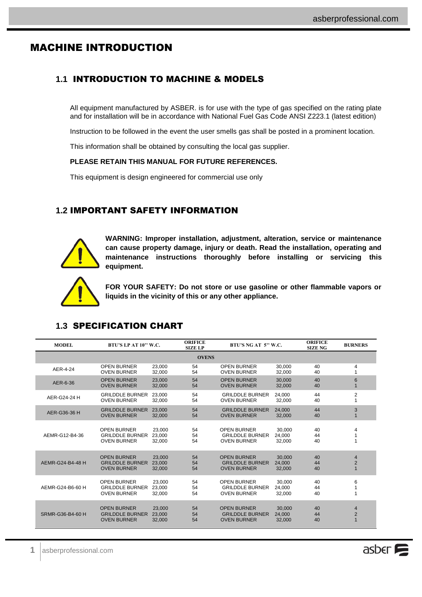# <span id="page-2-0"></span>MACHINE INTRODUCTION

## <span id="page-2-1"></span>**1.1** INTRODUCTION TO MACHINE & MODELS

All equipment manufactured by ASBER. is for use with the type of gas specified on the rating plate and for installation will be in accordance with National Fuel Gas Code ANSI Z223.1 (latest edition)

Instruction to be followed in the event the user smells gas shall be posted in a prominent location.

This information shall be obtained by consulting the local gas supplier.

#### **PLEASE RETAIN THIS MANUAL FOR FUTURE REFERENCES.**

This equipment is design engineered for commercial use only

## <span id="page-2-2"></span>**1.2** IMPORTANT SAFETY INFORMATION



**WARNING: Improper installation, adjustment, alteration, service or maintenance can cause property damage, injury or death. Read the installation, operating and maintenance instructions thoroughly before installing or servicing this equipment.**



**FOR YOUR SAFETY: Do not store or use gasoline or other flammable vapors or liquids in the vicinity of this or any other appliance.**

| <b>MODEL</b>     | BTU'S LP AT 10" W.C.                     |                  | <b>ORIFICE</b><br><b>SIZE LP</b> | BTU'S NG AT 5" W.C.                      |                  | <b>ORIFICE</b><br><b>SIZE NG</b> | <b>BURNERS</b>  |
|------------------|------------------------------------------|------------------|----------------------------------|------------------------------------------|------------------|----------------------------------|-----------------|
|                  |                                          |                  | <b>OVENS</b>                     |                                          |                  |                                  |                 |
| AER-4-24         | <b>OPEN BURNER</b><br><b>OVEN BURNER</b> | 23,000<br>32,000 | 54<br>54                         | <b>OPEN BURNER</b><br><b>OVEN BURNER</b> | 30,000<br>32,000 | 40<br>40                         | 4               |
| AER-6-36         | <b>OPEN BURNER</b>                       | 23,000           | 54                               | <b>OPEN BURNER</b>                       | 30.000           | 40                               | $6\phantom{1}6$ |
|                  | <b>OVEN BURNER</b>                       | 32,000           | 54                               | <b>OVEN BURNER</b>                       | 32,000           | 40                               | $\mathbf{1}$    |
| AER-G24-24 H     | <b>GRILDDLE BURNER</b>                   | 23,000           | 54                               | <b>GRILDDLE BURNER</b>                   | 24.000           | 44                               | 2               |
|                  | <b>OVEN BURNER</b>                       | 32.000           | 54                               | <b>OVEN BURNER</b>                       | 32,000           | 40                               | 1               |
| AER-G36-36 H     | <b>GRILDDLE BURNER</b>                   | 23,000           | 54                               | <b>GRILDDLE BURNER</b>                   | 24,000           | 44                               | 3               |
|                  | <b>OVEN BURNER</b>                       | 32,000           | 54                               | <b>OVEN BURNER</b>                       | 32,000           | 40                               | $\mathbf{1}$    |
| AEMR-G12-B4-36   | <b>OPEN BURNER</b>                       | 23,000           | 54                               | <b>OPEN BURNER</b>                       | 30.000           | 40                               | 4               |
|                  | <b>GRILDDLE BURNER</b>                   | 23,000           | 54                               | <b>GRILDDLE BURNER</b>                   | 24,000           | 44                               | 1               |
|                  | <b>OVEN BURNER</b>                       | 32,000           | 54                               | <b>OVEN BURNER</b>                       | 32,000           | 40                               | 1               |
| AEMR-G24-B4-48 H | <b>OPEN BURNER</b>                       | 23,000           | 54                               | <b>OPEN BURNER</b>                       | 30,000           | 40                               | $\overline{4}$  |
|                  | <b>GRILDDLE BURNER</b>                   | 23,000           | 54                               | <b>GRILDDLE BURNER</b>                   | 24,000           | 44                               | $\overline{2}$  |
|                  | <b>OVEN BURNER</b>                       | 32.000           | 54                               | <b>OVEN BURNER</b>                       | 32.000           | 40                               | $\mathbf{1}$    |
| AEMR-G24-B6-60 H | <b>OPEN BURNER</b>                       | 23,000           | 54                               | <b>OPEN BURNER</b>                       | 30,000           | 40                               | 6               |
|                  | <b>GRILDDLE BURNER</b>                   | 23.000           | 54                               | <b>GRILDDLE BURNER</b>                   | 24,000           | 44                               | 1               |
|                  | <b>OVEN BURNER</b>                       | 32.000           | 54                               | <b>OVEN BURNER</b>                       | 32,000           | 40                               | 1               |
| SRMR-G36-B4-60 H | <b>OPEN BURNER</b>                       | 23,000           | 54                               | <b>OPEN BURNER</b>                       | 30,000           | 40                               | 4               |
|                  | <b>GRILDDLE BURNER</b>                   | 23,000           | 54                               | <b>GRILDDLE BURNER</b>                   | 24,000           | 44                               | $\overline{2}$  |
|                  | <b>OVEN BURNER</b>                       | 32,000           | 54                               | <b>OVEN BURNER</b>                       | 32,000           | 40                               | $\mathbf{1}$    |

## <span id="page-2-3"></span>**1.3** SPECIFICATION CHART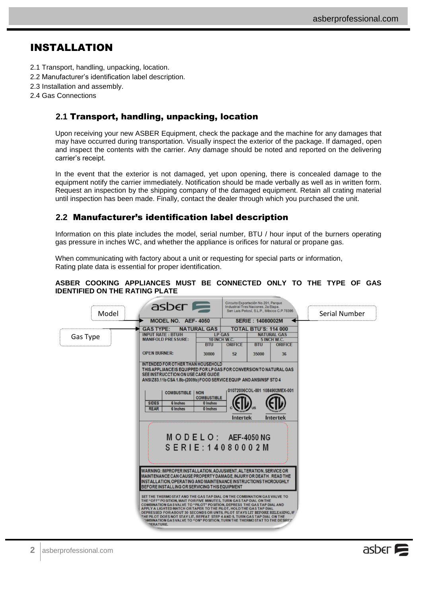# <span id="page-3-0"></span>INSTALLATION

- 2.1 Transport, handling, unpacking, location.
- 2.2 Manufacturer's identification label description.
- 2.3 Installation and assembly.
- 2.4 Gas Connections

## <span id="page-3-1"></span>**2.1** Transport, handling, unpacking, location

Upon receiving your new ASBER Equipment, check the package and the machine for any damages that may have occurred during transportation. Visually inspect the exterior of the package. If damaged, open and inspect the contents with the carrier. Any damage should be noted and reported on the delivering carrier's receipt.

In the event that the exterior is not damaged, yet upon opening, there is concealed damage to the equipment notify the carrier immediately. Notification should be made verbally as well as in written form. Request an inspection by the shipping company of the damaged equipment. Retain all crating material until inspection has been made. Finally, contact the dealer through which you purchased the unit.

## <span id="page-3-2"></span>**2.2** Manufacturer's identification label description

Information on this plate includes the model, serial number, BTU / hour input of the burners operating gas pressure in inches WC, and whether the appliance is orifices for natural or propane gas.

When communicating with factory about a unit or requesting for special parts or information, Rating plate data is essential for proper identification.

#### **ASBER COOKING APPLIANCES MUST BE CONNECTED ONLY TO THE TYPE OF GAS IDENTIFIED ON THE RATING PLATE**

| Model    | $\overline{a}$ sber<br>MODEL NO. AEF-4050                                                                                                                                                                                                                                                                                                                                                                                                                                                                                                                             |                                                               | Industrial Tres Naciones, 2a Etapa.<br>San Luis Potosí, S.L.P., México C.P.78395<br><b>SERIE: 14080002M</b> |                                                   | Serial Number |
|----------|-----------------------------------------------------------------------------------------------------------------------------------------------------------------------------------------------------------------------------------------------------------------------------------------------------------------------------------------------------------------------------------------------------------------------------------------------------------------------------------------------------------------------------------------------------------------------|---------------------------------------------------------------|-------------------------------------------------------------------------------------------------------------|---------------------------------------------------|---------------|
| Gas Type | <b>NATURAL GAS</b><br><b>GAS TYPE:</b><br><b>INPUT RATE: BTU/H</b><br><b>MANIFOLD PRESSURE:</b>                                                                                                                                                                                                                                                                                                                                                                                                                                                                       | <b>LP GAS</b><br><b>10 INCH W.C.</b>                          | <b>TOTAL BTU'S: 114 000</b>                                                                                 | <b>NATURAL GAS</b><br>5 INCH W.C.                 |               |
|          | <b>OPEN BURNER:</b>                                                                                                                                                                                                                                                                                                                                                                                                                                                                                                                                                   | <b>BTU</b><br><b>ORIFICE</b><br>52<br>30000                   | <b>BTU</b><br>35000                                                                                         | <b>ORIFICE</b><br>36                              |               |
|          | <b>INTENDED FOR OTHER THAN HOUSEHOLD</b><br>THIS APPLIANCE IS EQUIPPED FOR LP GAS FOR CONVERSION TO NATURAL GAS<br>SEE INSTRUCCTION ON USE CARE GUIDE<br>ANSIZ83.11b CSA 1.8b-(2009b) FOOD SERVICE EQUIP AND ANSI/NSF STD 4<br><b>COMBUSTIBLE</b><br><b>NON</b><br><b>SIDES</b><br><b>6 Inches</b><br><b>REAR</b><br>6 Inches                                                                                                                                                                                                                                         | <b>COMBUSTIBLE</b><br>0 Inches<br>0 Inches<br><b>Intertek</b> |                                                                                                             | 01072006COL-001 1084902MEX-001<br><b>Intertek</b> |               |
|          | $M$ O D E L O : AEF-4050 NG<br>$S$ E R I E : 14080002M<br>WARNING: IMPROPER INSTALLATION, ADJUSMENT, ALTERATION, SERVICE OR                                                                                                                                                                                                                                                                                                                                                                                                                                           |                                                               |                                                                                                             |                                                   |               |
|          | MAINTENANCE CAN CAUSE PROPERTY DAMAGE. INJURY OR DEATH. READ THE<br>INSTALLATION, OPERATING AND MAINTENANCE INSTRUCTIONS THOROUGHLY<br>BEFORE INSTALLING OR SERVICING THIS EQUIPMENT                                                                                                                                                                                                                                                                                                                                                                                  |                                                               |                                                                                                             |                                                   |               |
|          | SET THE THERMOSTAT AND THE GAS TAP DIAL ON THE COMBINATION GAS VALVE TO<br>THE "OFF" POSITION, WAIT FOR FIVE MINUTES, TURN GAS TAP DIAL ON THE<br>COMBINATION GAS VALVE TO "PILOT" POSITION, DEPRESS THE GAS TAP DIAL AND<br>APPLY A LIGHTED MATCH OR TAPER TO THE PILOT, HOLD THE GAS TAP DIAL<br>DEPRESSED FOR ABOUT 30 SECONDS OR UNTIL PILOT STAYS LIT BEFORE RELEASING, IF<br>THE PILOT DOES NOT STAY LIT. REPEAT STEP 4 AND 5. TURN GAS TAP DIAL ON THE<br><b>DMBINATION GAS VALVE TO "ON" POSITION. TURN THE THERMOSTAT TO THE DESIREP</b><br><b>PERATURE.</b> |                                                               |                                                                                                             |                                                   |               |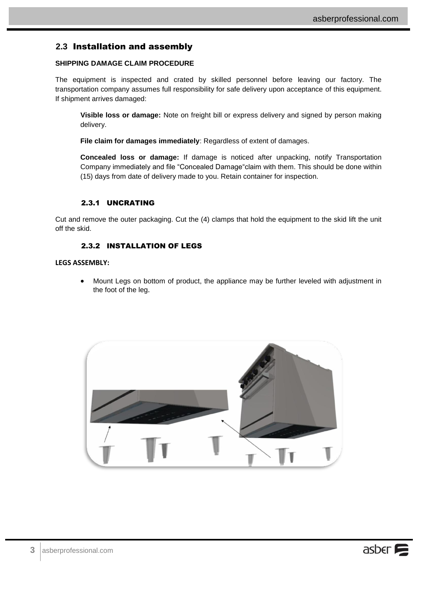## <span id="page-4-0"></span>**2.3** Installation and assembly

#### **SHIPPING DAMAGE CLAIM PROCEDURE**

The equipment is inspected and crated by skilled personnel before leaving our factory. The transportation company assumes full responsibility for safe delivery upon acceptance of this equipment. If shipment arrives damaged:

**Visible loss or damage:** Note on freight bill or express delivery and signed by person making delivery.

**File claim for damages immediately**: Regardless of extent of damages.

**Concealed loss or damage:** If damage is noticed after unpacking, notify Transportation Company immediately and file "Concealed Damage"claim with them. This should be done within (15) days from date of delivery made to you. Retain container for inspection.

#### 2.3.1 UNCRATING

<span id="page-4-1"></span>Cut and remove the outer packaging. Cut the (4) clamps that hold the equipment to the skid lift the unit off the skid.

#### 2.3.2 INSTALLATION OF LEGS

#### <span id="page-4-2"></span>**LEGS ASSEMBLY:**

 Mount Legs on bottom of product, the appliance may be further leveled with adjustment in the foot of the leg.

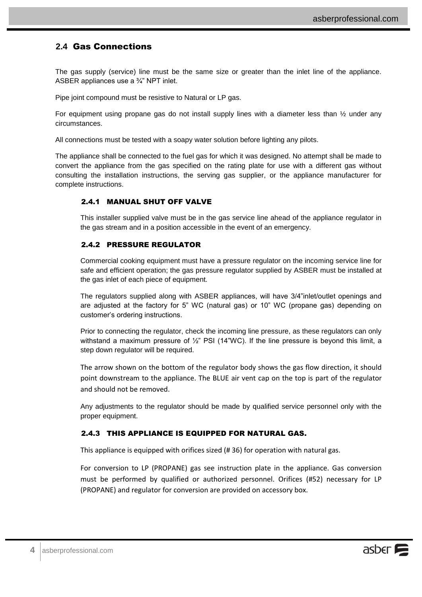## <span id="page-5-0"></span>**2.4** Gas Connections

The gas supply (service) line must be the same size or greater than the inlet line of the appliance. ASBER appliances use a ¾" NPT inlet.

Pipe joint compound must be resistive to Natural or LP gas.

For equipment using propane gas do not install supply lines with a diameter less than  $\frac{1}{2}$  under any circumstances.

All connections must be tested with a soapy water solution before lighting any pilots.

<span id="page-5-1"></span>The appliance shall be connected to the fuel gas for which it was designed. No attempt shall be made to convert the appliance from the gas specified on the rating plate for use with a different gas without consulting the installation instructions, the serving gas supplier, or the appliance manufacturer for complete instructions.

#### 2.4.1 MANUAL SHUT OFF VALVE

This installer supplied valve must be in the gas service line ahead of the appliance regulator in the gas stream and in a position accessible in the event of an emergency.

#### <span id="page-5-2"></span>2.4.2 PRESSURE REGULATOR

Commercial cooking equipment must have a pressure regulator on the incoming service line for safe and efficient operation; the gas pressure regulator supplied by ASBER must be installed at the gas inlet of each piece of equipment.

The regulators supplied along with ASBER appliances, will have 3/4"inlet/outlet openings and are adjusted at the factory for 5" WC (natural gas) or 10" WC (propane gas) depending on customer's ordering instructions.

Prior to connecting the regulator, check the incoming line pressure, as these regulators can only withstand a maximum pressure of  $\frac{1}{2}$ " PSI (14"WC). If the line pressure is beyond this limit, a step down regulator will be required.

The arrow shown on the bottom of the regulator body shows the gas flow direction, it should point downstream to the appliance. The BLUE air vent cap on the top is part of the regulator and should not be removed.

Any adjustments to the regulator should be made by qualified service personnel only with the proper equipment.

#### <span id="page-5-3"></span>2.4.3 THIS APPLIANCE IS EQUIPPED FOR NATURAL GAS.

This appliance is equipped with orifices sized (# 36) for operation with natural gas.

For conversion to LP (PROPANE) gas see instruction plate in the appliance. Gas conversion must be performed by qualified or authorized personnel. Orifices (#52) necessary for LP (PROPANE) and regulator for conversion are provided on accessory box.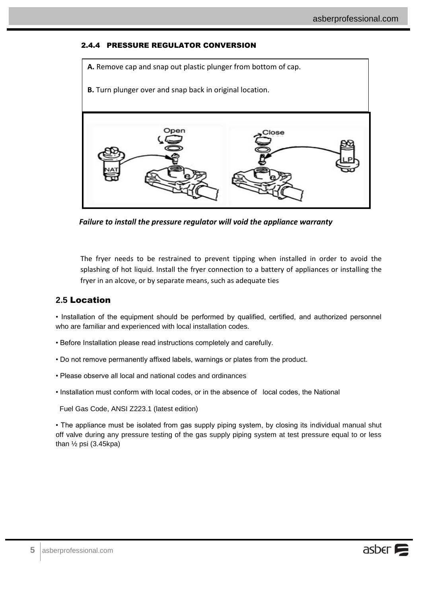## 2.4.4 PRESSURE REGULATOR CONVERSION

<span id="page-6-0"></span>

*Failure to install the pressure regulator will void the appliance warranty*

The fryer needs to be restrained to prevent tipping when installed in order to avoid the splashing of hot liquid. Install the fryer connection to a battery of appliances or installing the fryer in an alcove, or by separate means, such as adequate ties

## <span id="page-6-1"></span>**2.5** Location

• Installation of the equipment should be performed by qualified, certified, and authorized personnel who are familiar and experienced with local installation codes.

- Before Installation please read instructions completely and carefully.
- Do not remove permanently affixed labels, warnings or plates from the product.
- Please observe all local and national codes and ordinances
- Installation must conform with local codes, or in the absence of local codes, the National

Fuel Gas Code, ANSI Z223.1 (latest edition)

• The appliance must be isolated from gas supply piping system, by closing its individual manual shut off valve during any pressure testing of the gas supply piping system at test pressure equal to or less than  $\frac{1}{2}$  psi (3.45kpa)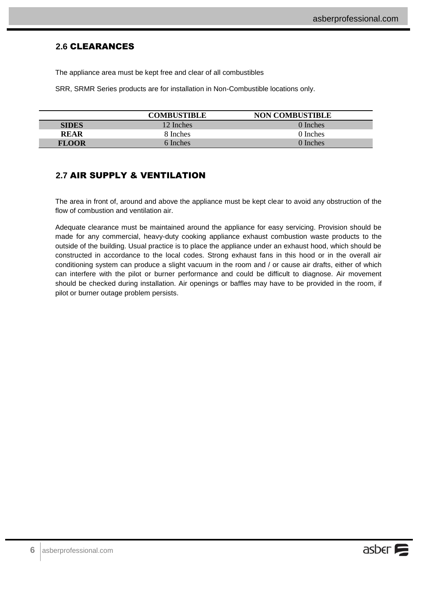## <span id="page-7-0"></span>**2.6** CLEARANCES

The appliance area must be kept free and clear of all combustibles

SRR, SRMR Series products are for installation in Non-Combustible locations only.

|              | <b>COMBUSTIBLE</b> | <b>NON COMBUSTIBLE</b> |
|--------------|--------------------|------------------------|
| <b>SIDES</b> | 12 Inches          | 0 Inches               |
| <b>REAR</b>  | 8 Inches           | 0 Inches               |
| <b>FLOOR</b> | 6 Inches           | 0 Inches               |

## <span id="page-7-1"></span>**2.7** AIR SUPPLY & VENTILATION

The area in front of, around and above the appliance must be kept clear to avoid any obstruction of the flow of combustion and ventilation air.

Adequate clearance must be maintained around the appliance for easy servicing. Provision should be made for any commercial, heavy-duty cooking appliance exhaust combustion waste products to the outside of the building. Usual practice is to place the appliance under an exhaust hood, which should be constructed in accordance to the local codes. Strong exhaust fans in this hood or in the overall air conditioning system can produce a slight vacuum in the room and / or cause air drafts, either of which can interfere with the pilot or burner performance and could be difficult to diagnose. Air movement should be checked during installation. Air openings or baffles may have to be provided in the room, if pilot or burner outage problem persists.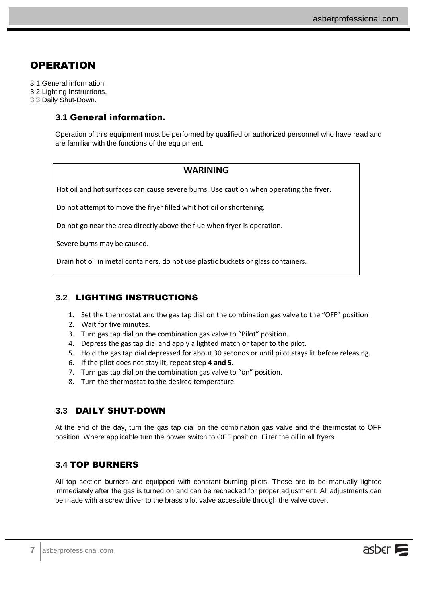# <span id="page-8-0"></span>**OPERATION**

3.1 General information. 3.2 Lighting Instructions. 3.3 Daily Shut-Down.

## <span id="page-8-1"></span>**3.1** General information.

Operation of this equipment must be performed by qualified or authorized personnel who have read and are familiar with the functions of the equipment.

## **WARINING**

Hot oil and hot surfaces can cause severe burns. Use caution when operating the fryer.

Do not attempt to move the fryer filled whit hot oil or shortening.

Do not go near the area directly above the flue when fryer is operation.

Severe burns may be caused.

Drain hot oil in metal containers, do not use plastic buckets or glass containers.

## <span id="page-8-2"></span>**3.2** LIGHTING INSTRUCTIONS

- 1. Set the thermostat and the gas tap dial on the combination gas valve to the "OFF" position.
- 2. Wait for five minutes.
- 3. Turn gas tap dial on the combination gas valve to "Pilot" position.
- 4. Depress the gas tap dial and apply a lighted match or taper to the pilot.
- 5. Hold the gas tap dial depressed for about 30 seconds or until pilot stays lit before releasing.
- 6. If the pilot does not stay lit, repeat step **4 and 5.**
- 7. Turn gas tap dial on the combination gas valve to "on" position.
- 8. Turn the thermostat to the desired temperature.

## <span id="page-8-3"></span>**3.3** DAILY SHUT-DOWN

At the end of the day, turn the gas tap dial on the combination gas valve and the thermostat to OFF position. Where applicable turn the power switch to OFF position. Filter the oil in all fryers.

## <span id="page-8-4"></span>**3.4** TOP BURNERS

All top section burners are equipped with constant burning pilots. These are to be manually lighted immediately after the gas is turned on and can be rechecked for proper adjustment. All adjustments can be made with a screw driver to the brass pilot valve accessible through the valve cover.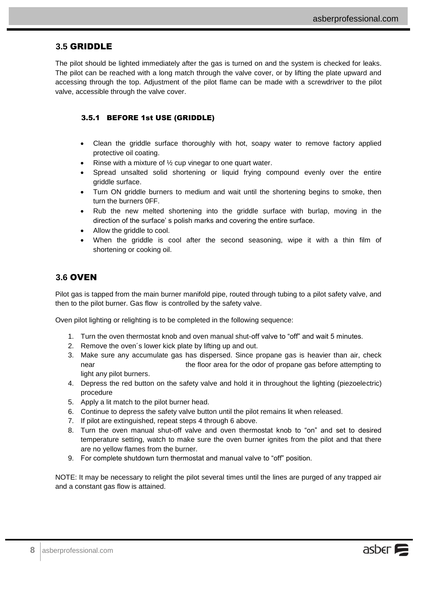## <span id="page-9-0"></span>**3.5** GRIDDLE

The pilot should be lighted immediately after the gas is turned on and the system is checked for leaks. The pilot can be reached with a long match through the valve cover, or by lifting the plate upward and accessing through the top. Adjustment of the pilot flame can be made with a screwdriver to the pilot valve, accessible through the valve cover.

#### <span id="page-9-1"></span>3.5.1 BEFORE 1st USE (GRIDDLE)

- Clean the griddle surface thoroughly with hot, soapy water to remove factory applied protective oil coating.
- Rinse with a mixture of ½ cup vinegar to one quart water.
- Spread unsalted solid shortening or liquid frying compound evenly over the entire griddle surface.
- Turn ON griddle burners to medium and wait until the shortening begins to smoke, then turn the burners 0FF.
- Rub the new melted shortening into the griddle surface with burlap, moving in the direction of the surface' s polish marks and covering the entire surface.
- Allow the griddle to cool.
- When the griddle is cool after the second seasoning, wipe it with a thin film of shortening or cooking oil.

## <span id="page-9-2"></span>**3.6** OVEN

Pilot gas is tapped from the main burner manifold pipe, routed through tubing to a pilot safety valve, and then to the pilot burner. Gas flow is controlled by the safety valve.

Oven pilot lighting or relighting is to be completed in the following sequence:

- 1. Turn the oven thermostat knob and oven manual shut-off valve to "off" and wait 5 minutes.
- 2. Remove the oven´s lower kick plate by lifting up and out.
- 3. Make sure any accumulate gas has dispersed. Since propane gas is heavier than air, check near the floor area for the odor of propane gas before attempting to light any pilot burners.
- 4. Depress the red button on the safety valve and hold it in throughout the lighting (piezoelectric) procedure
- 5. Apply a lit match to the pilot burner head.
- 6. Continue to depress the safety valve button until the pilot remains lit when released.
- 7. If pilot are extinguished, repeat steps 4 through 6 above.
- 8. Turn the oven manual shut-off valve and oven thermostat knob to "on" and set to desired temperature setting, watch to make sure the oven burner ignites from the pilot and that there are no yellow flames from the burner.
- 9. For complete shutdown turn thermostat and manual valve to "off" position.

NOTE: It may be necessary to relight the pilot several times until the lines are purged of any trapped air and a constant gas flow is attained.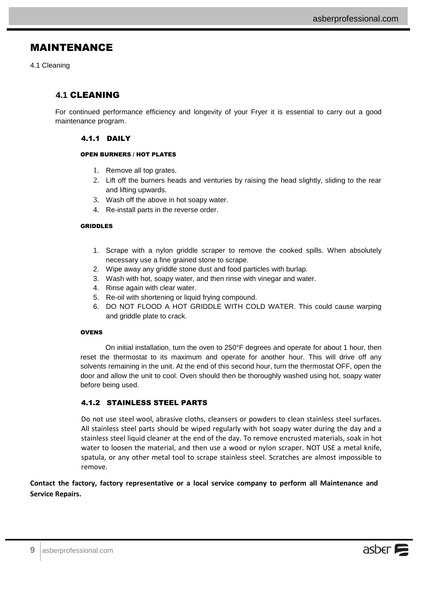# <span id="page-10-0"></span>MAINTENANCE

4.1 Cleaning

## <span id="page-10-1"></span>**4.1** CLEANING

<span id="page-10-2"></span>For continued performance efficiency and longevity of your Fryer it is essential to carry out a good maintenance program.

#### 4.1.1 DAILY

#### OPEN BURNERS / HOT PLATES

- 1. Remove all top grates.
- 2. Lift off the burners heads and venturies by raising the head slightly, sliding to the rear and lifting upwards.
- 3. Wash off the above in hot soapy water.
- 4. Re-install parts in the reverse order.

#### GRIDDLES

- 1. Scrape with a nylon griddle scraper to remove the cooked spills. When absolutely necessary use a fine grained stone to scrape.
- 2. Wipe away any griddle stone dust and food particles with burlap.
- 3. Wash with hot, soapy water, and then rinse with vinegar and water.
- 4. Rinse again with clear water.
- 5. Re-oil with shortening or liquid frying compound.
- 6. DO NOT FLOOD A HOT GRIDDLE WITH COLD WATER. This could cause warping and griddle plate to crack.

#### **OVENS**

On initial installation, turn the oven to 250°F degrees and operate for about 1 hour, then reset the thermostat to its maximum and operate for another hour. This will drive off any solvents remaining in the unit. At the end of this second hour, turn the thermostat OFF, open the door and allow the unit to cool. Oven should then be thoroughly washed using hot, soapy water before being used.

## <span id="page-10-3"></span>4.1.2 STAINLESS STEEL PARTS

Do not use steel wool, abrasive cloths, cleansers or powders to clean stainless steel surfaces. All stainless steel parts should be wiped regularly with hot soapy water during the day and a stainless steel liquid cleaner at the end of the day. To remove encrusted materials, soak in hot water to loosen the material, and then use a wood or nylon scraper. NOT USE a metal knife, spatula, or any other metal tool to scrape stainless steel. Scratches are almost impossible to remove.

**Contact the factory, factory representative or a local service company to perform all Maintenance and Service Repairs.**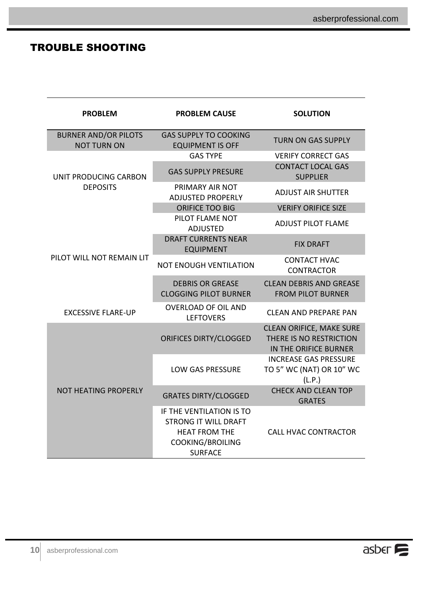# <span id="page-11-0"></span>TROUBLE SHOOTING

| <b>PROBLEM</b>                                    | <b>PROBLEM CAUSE</b>                                                                                                         | <b>SOLUTION</b>                                                                     |  |  |
|---------------------------------------------------|------------------------------------------------------------------------------------------------------------------------------|-------------------------------------------------------------------------------------|--|--|
| <b>BURNER AND/OR PILOTS</b><br><b>NOT TURN ON</b> | <b>GAS SUPPLY TO COOKING</b><br><b>EQUIPMENT IS OFF</b>                                                                      | <b>TURN ON GAS SUPPLY</b>                                                           |  |  |
|                                                   | <b>GAS TYPE</b>                                                                                                              | <b>VERIFY CORRECT GAS</b>                                                           |  |  |
| UNIT PRODUCING CARBON                             | <b>GAS SUPPLY PRESURE</b>                                                                                                    | <b>CONTACT LOCAL GAS</b><br><b>SUPPLIER</b>                                         |  |  |
| <b>DEPOSITS</b>                                   | PRIMARY AIR NOT<br><b>ADJUSTED PROPERLY</b>                                                                                  | <b>ADJUST AIR SHUTTER</b>                                                           |  |  |
|                                                   | <b>ORIFICE TOO BIG</b>                                                                                                       | <b>VERIFY ORIFICE SIZE</b>                                                          |  |  |
|                                                   | PILOT FLAME NOT<br><b>ADJUSTED</b>                                                                                           | <b>ADJUST PILOT FLAME</b>                                                           |  |  |
|                                                   | <b>DRAFT CURRENTS NEAR</b><br><b>EQUIPMENT</b>                                                                               | <b>FIX DRAFT</b>                                                                    |  |  |
| PILOT WILL NOT REMAIN LIT                         | <b>NOT ENOUGH VENTILATION</b>                                                                                                | <b>CONTACT HVAC</b><br><b>CONTRACTOR</b>                                            |  |  |
|                                                   | <b>DEBRIS OR GREASE</b><br><b>CLOGGING PILOT BURNER</b>                                                                      | <b>CLEAN DEBRIS AND GREASE</b><br><b>FROM PILOT BURNER</b>                          |  |  |
| <b>EXCESSIVE FLARE-UP</b>                         | <b>OVERLOAD OF OIL AND</b><br><b>LEFTOVERS</b>                                                                               | CLFAN AND PRFPARF PAN                                                               |  |  |
|                                                   | <b>ORIFICES DIRTY/CLOGGED</b>                                                                                                | <b>CLEAN ORIFICE, MAKE SURE</b><br>THERE IS NO RESTRICTION<br>IN THE ORIFICE BURNER |  |  |
|                                                   | <b>LOW GAS PRESSURE</b>                                                                                                      | <b>INCREASE GAS PRESSURE</b><br>TO 5" WC (NAT) OR 10" WC<br>(L.P.)                  |  |  |
| <b>NOT HEATING PROPERLY</b>                       | <b>GRATES DIRTY/CLOGGED</b>                                                                                                  | <b>CHECK AND CLEAN TOP</b><br><b>GRATES</b>                                         |  |  |
|                                                   | IF THE VENTILATION IS TO<br><b>STRONG IT WILL DRAFT</b><br><b>HEAT FROM THE</b><br><b>COOKING/BROILING</b><br><b>SURFACE</b> | <b>CALL HVAC CONTRACTOR</b>                                                         |  |  |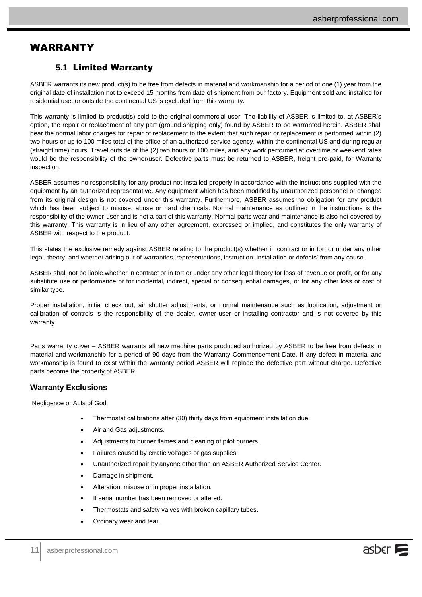# <span id="page-12-0"></span>WARRANTY

## <span id="page-12-1"></span>**5.1** Limited Warranty

ASBER warrants its new product(s) to be free from defects in material and workmanship for a period of one (1) year from the original date of installation not to exceed 15 months from date of shipment from our factory. Equipment sold and installed for residential use, or outside the continental US is excluded from this warranty.

This warranty is limited to product(s) sold to the original commercial user. The liability of ASBER is limited to, at ASBER's option, the repair or replacement of any part (ground shipping only) found by ASBER to be warranted herein. ASBER shall bear the normal labor charges for repair of replacement to the extent that such repair or replacement is performed within (2) two hours or up to 100 miles total of the office of an authorized service agency, within the continental US and during regular (straight time) hours. Travel outside of the (2) two hours or 100 miles, and any work performed at overtime or weekend rates would be the responsibility of the owner/user. Defective parts must be returned to ASBER, freight pre-paid, for Warranty inspection.

ASBER assumes no responsibility for any product not installed properly in accordance with the instructions supplied with the equipment by an authorized representative. Any equipment which has been modified by unauthorized personnel or changed from its original design is not covered under this warranty. Furthermore, ASBER assumes no obligation for any product which has been subject to misuse, abuse or hard chemicals. Normal maintenance as outlined in the instructions is the responsibility of the owner-user and is not a part of this warranty. Normal parts wear and maintenance is also not covered by this warranty. This warranty is in lieu of any other agreement, expressed or implied, and constitutes the only warranty of ASBER with respect to the product.

This states the exclusive remedy against ASBER relating to the product(s) whether in contract or in tort or under any other legal, theory, and whether arising out of warranties, representations, instruction, installation or defects' from any cause.

ASBER shall not be liable whether in contract or in tort or under any other legal theory for loss of revenue or profit, or for any substitute use or performance or for incidental, indirect, special or consequential damages, or for any other loss or cost of similar type.

Proper installation, initial check out, air shutter adjustments, or normal maintenance such as lubrication, adjustment or calibration of controls is the responsibility of the dealer, owner-user or installing contractor and is not covered by this warranty.

Parts warranty cover – ASBER warrants all new machine parts produced authorized by ASBER to be free from defects in material and workmanship for a period of 90 days from the Warranty Commencement Date. If any defect in material and workmanship is found to exist within the warranty period ASBER will replace the defective part without charge. Defective parts become the property of ASBER.

#### **Warranty Exclusions**

Negligence or Acts of God.

- Thermostat calibrations after (30) thirty days from equipment installation due.
- Air and Gas adjustments.
- Adjustments to burner flames and cleaning of pilot burners.
- Failures caused by erratic voltages or gas supplies.
- Unauthorized repair by anyone other than an ASBER Authorized Service Center.
- Damage in shipment.
- Alteration, misuse or improper installation.
- If serial number has been removed or altered.
- Thermostats and safety valves with broken capillary tubes.
- Ordinary wear and tear.